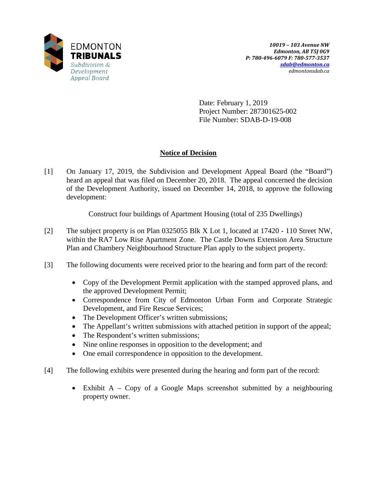

Date: February 1, 2019 Project Number: 287301625-002 File Number: SDAB-D-19-008

# **Notice of Decision**

[1] On January 17, 2019, the Subdivision and Development Appeal Board (the "Board") heard an appeal that was filed on December 20, 2018. The appeal concerned the decision of the Development Authority, issued on December 14, 2018, to approve the following development:

Construct four buildings of Apartment Housing (total of 235 Dwellings)

- [2] The subject property is on Plan 0325055 Blk X Lot 1, located at 17420 110 Street NW, within the RA7 Low Rise Apartment Zone. The Castle Downs Extension Area Structure Plan and Chambery Neighbourhood Structure Plan apply to the subject property.
- [3] The following documents were received prior to the hearing and form part of the record:
	- Copy of the Development Permit application with the stamped approved plans, and the approved Development Permit;
	- Correspondence from City of Edmonton Urban Form and Corporate Strategic Development, and Fire Rescue Services;
	- The Development Officer's written submissions;
	- The Appellant's written submissions with attached petition in support of the appeal;
	- The Respondent's written submissions;
	- Nine online responses in opposition to the development; and
	- One email correspondence in opposition to the development.
- [4] The following exhibits were presented during the hearing and form part of the record:
	- Exhibit A Copy of a Google Maps screenshot submitted by a neighbouring property owner.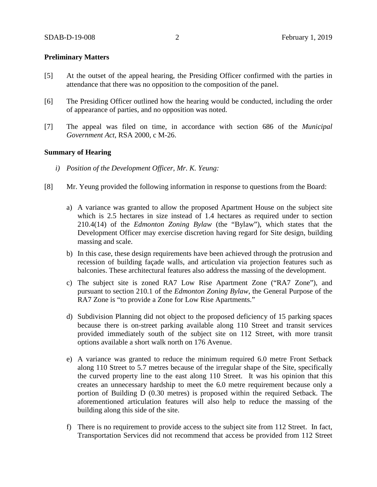### **Preliminary Matters**

- [5] At the outset of the appeal hearing, the Presiding Officer confirmed with the parties in attendance that there was no opposition to the composition of the panel.
- [6] The Presiding Officer outlined how the hearing would be conducted, including the order of appearance of parties, and no opposition was noted.
- [7] The appeal was filed on time, in accordance with section 686 of the *Municipal Government Act*, RSA 2000, c M-26.

### **Summary of Hearing**

- *i) Position of the Development Officer, Mr. K. Yeung:*
- [8] Mr. Yeung provided the following information in response to questions from the Board:
	- a) A variance was granted to allow the proposed Apartment House on the subject site which is 2.5 hectares in size instead of 1.4 hectares as required under to section 210.4(14) of the *Edmonton Zoning Bylaw* (the "Bylaw"), which states that the Development Officer may exercise discretion having regard for Site design, building massing and scale.
	- b) In this case, these design requirements have been achieved through the protrusion and recession of building façade walls, and articulation via projection features such as balconies. These architectural features also address the massing of the development.
	- c) The subject site is zoned RA7 Low Rise Apartment Zone ("RA7 Zone"), and pursuant to section 210.1 of the *Edmonton Zoning Bylaw*, the General Purpose of the RA7 Zone is "to provide a Zone for Low Rise Apartments."
	- d) Subdivision Planning did not object to the proposed deficiency of 15 parking spaces because there is on-street parking available along 110 Street and transit services provided immediately south of the subject site on 112 Street, with more transit options available a short walk north on 176 Avenue.
	- e) A variance was granted to reduce the minimum required 6.0 metre Front Setback along 110 Street to 5.7 metres because of the irregular shape of the Site, specifically the curved property line to the east along 110 Street. It was his opinion that this creates an unnecessary hardship to meet the 6.0 metre requirement because only a portion of Building D (0.30 metres) is proposed within the required Setback. The aforementioned articulation features will also help to reduce the massing of the building along this side of the site.
	- f) There is no requirement to provide access to the subject site from 112 Street. In fact, Transportation Services did not recommend that access be provided from 112 Street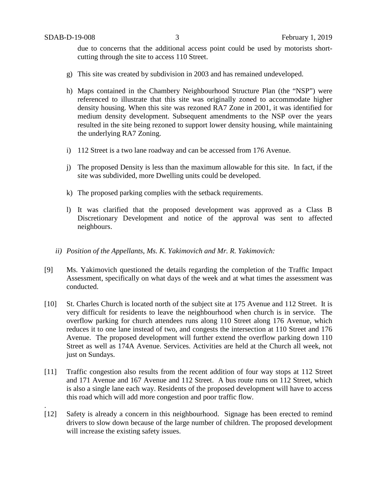.

due to concerns that the additional access point could be used by motorists shortcutting through the site to access 110 Street.

- g) This site was created by subdivision in 2003 and has remained undeveloped.
- h) Maps contained in the Chambery Neighbourhood Structure Plan (the "NSP") were referenced to illustrate that this site was originally zoned to accommodate higher density housing. When this site was rezoned RA7 Zone in 2001, it was identified for medium density development. Subsequent amendments to the NSP over the years resulted in the site being rezoned to support lower density housing, while maintaining the underlying RA7 Zoning.
- i) 112 Street is a two lane roadway and can be accessed from 176 Avenue.
- j) The proposed Density is less than the maximum allowable for this site. In fact, if the site was subdivided, more Dwelling units could be developed.
- k) The proposed parking complies with the setback requirements.
- l) It was clarified that the proposed development was approved as a Class B Discretionary Development and notice of the approval was sent to affected neighbours.
- *ii) Position of the Appellants, Ms. K. Yakimovich and Mr. R. Yakimovich:*
- [9] Ms. Yakimovich questioned the details regarding the completion of the Traffic Impact Assessment, specifically on what days of the week and at what times the assessment was conducted.
- [10] St. Charles Church is located north of the subject site at 175 Avenue and 112 Street. It is very difficult for residents to leave the neighbourhood when church is in service. The overflow parking for church attendees runs along 110 Street along 176 Avenue, which reduces it to one lane instead of two, and congests the intersection at 110 Street and 176 Avenue. The proposed development will further extend the overflow parking down 110 Street as well as 174A Avenue. Services. Activities are held at the Church all week, not just on Sundays.
- [11] Traffic congestion also results from the recent addition of four way stops at 112 Street and 171 Avenue and 167 Avenue and 112 Street. A bus route runs on 112 Street, which is also a single lane each way. Residents of the proposed development will have to access this road which will add more congestion and poor traffic flow.
- [12] Safety is already a concern in this neighbourhood. Signage has been erected to remind drivers to slow down because of the large number of children. The proposed development will increase the existing safety issues.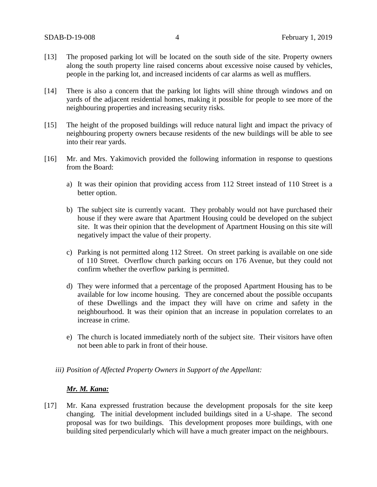- [13] The proposed parking lot will be located on the south side of the site. Property owners along the south property line raised concerns about excessive noise caused by vehicles, people in the parking lot, and increased incidents of car alarms as well as mufflers.
- [14] There is also a concern that the parking lot lights will shine through windows and on yards of the adjacent residential homes, making it possible for people to see more of the neighbouring properties and increasing security risks.
- [15] The height of the proposed buildings will reduce natural light and impact the privacy of neighbouring property owners because residents of the new buildings will be able to see into their rear yards.
- [16] Mr. and Mrs. Yakimovich provided the following information in response to questions from the Board:
	- a) It was their opinion that providing access from 112 Street instead of 110 Street is a better option.
	- b) The subject site is currently vacant. They probably would not have purchased their house if they were aware that Apartment Housing could be developed on the subject site. It was their opinion that the development of Apartment Housing on this site will negatively impact the value of their property.
	- c) Parking is not permitted along 112 Street. On street parking is available on one side of 110 Street. Overflow church parking occurs on 176 Avenue, but they could not confirm whether the overflow parking is permitted.
	- d) They were informed that a percentage of the proposed Apartment Housing has to be available for low income housing. They are concerned about the possible occupants of these Dwellings and the impact they will have on crime and safety in the neighbourhood. It was their opinion that an increase in population correlates to an increase in crime.
	- e) The church is located immediately north of the subject site. Their visitors have often not been able to park in front of their house.

#### *iii) Position of Affected Property Owners in Support of the Appellant:*

### *Mr. M. Kana:*

[17] Mr. Kana expressed frustration because the development proposals for the site keep changing. The initial development included buildings sited in a U-shape. The second proposal was for two buildings. This development proposes more buildings, with one building sited perpendicularly which will have a much greater impact on the neighbours.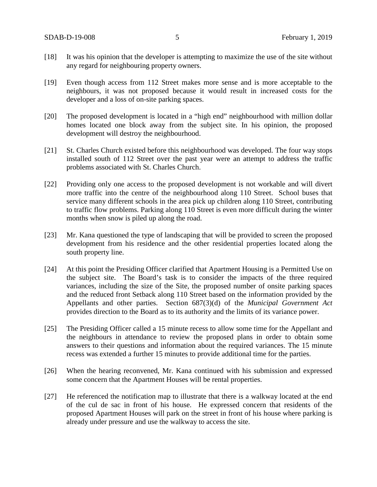- [18] It was his opinion that the developer is attempting to maximize the use of the site without any regard for neighbouring property owners.
- [19] Even though access from 112 Street makes more sense and is more acceptable to the neighbours, it was not proposed because it would result in increased costs for the developer and a loss of on-site parking spaces.
- [20] The proposed development is located in a "high end" neighbourhood with million dollar homes located one block away from the subject site. In his opinion, the proposed development will destroy the neighbourhood.
- [21] St. Charles Church existed before this neighbourhood was developed. The four way stops installed south of 112 Street over the past year were an attempt to address the traffic problems associated with St. Charles Church.
- [22] Providing only one access to the proposed development is not workable and will divert more traffic into the centre of the neighbourhood along 110 Street. School buses that service many different schools in the area pick up children along 110 Street, contributing to traffic flow problems. Parking along 110 Street is even more difficult during the winter months when snow is piled up along the road.
- [23] Mr. Kana questioned the type of landscaping that will be provided to screen the proposed development from his residence and the other residential properties located along the south property line.
- [24] At this point the Presiding Officer clarified that Apartment Housing is a Permitted Use on the subject site. The Board's task is to consider the impacts of the three required variances, including the size of the Site, the proposed number of onsite parking spaces and the reduced front Setback along 110 Street based on the information provided by the Appellants and other parties. Section 687(3)(d) of the *Municipal Government Act* provides direction to the Board as to its authority and the limits of its variance power.
- [25] The Presiding Officer called a 15 minute recess to allow some time for the Appellant and the neighbours in attendance to review the proposed plans in order to obtain some answers to their questions and information about the required variances. The 15 minute recess was extended a further 15 minutes to provide additional time for the parties.
- [26] When the hearing reconvened, Mr. Kana continued with his submission and expressed some concern that the Apartment Houses will be rental properties.
- [27] He referenced the notification map to illustrate that there is a walkway located at the end of the cul de sac in front of his house. He expressed concern that residents of the proposed Apartment Houses will park on the street in front of his house where parking is already under pressure and use the walkway to access the site.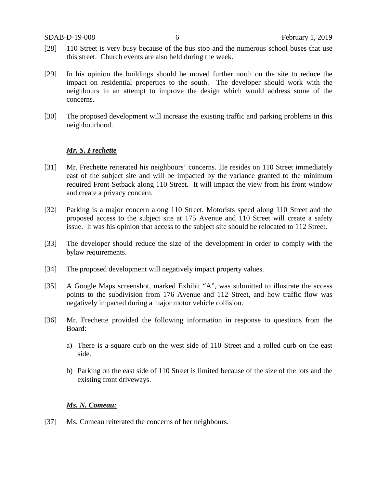- [28] 110 Street is very busy because of the bus stop and the numerous school buses that use this street. Church events are also held during the week.
- [29] In his opinion the buildings should be moved further north on the site to reduce the impact on residential properties to the south. The developer should work with the neighbours in an attempt to improve the design which would address some of the concerns.
- [30] The proposed development will increase the existing traffic and parking problems in this neighbourhood.

## *Mr. S. Frechette*

- [31] Mr. Frechette reiterated his neighbours' concerns. He resides on 110 Street immediately east of the subject site and will be impacted by the variance granted to the minimum required Front Setback along 110 Street. It will impact the view from his front window and create a privacy concern.
- [32] Parking is a major concern along 110 Street. Motorists speed along 110 Street and the proposed access to the subject site at 175 Avenue and 110 Street will create a safety issue. It was his opinion that access to the subject site should be relocated to 112 Street.
- [33] The developer should reduce the size of the development in order to comply with the bylaw requirements.
- [34] The proposed development will negatively impact property values.
- [35] A Google Maps screenshot, marked Exhibit "A", was submitted to illustrate the access points to the subdivision from 176 Avenue and 112 Street, and how traffic flow was negatively impacted during a major motor vehicle collision.
- [36] Mr. Frechette provided the following information in response to questions from the Board:
	- a) There is a square curb on the west side of 110 Street and a rolled curb on the east side.
	- b) Parking on the east side of 110 Street is limited because of the size of the lots and the existing front driveways.

#### *Ms. N. Comeau:*

[37] Ms. Comeau reiterated the concerns of her neighbours.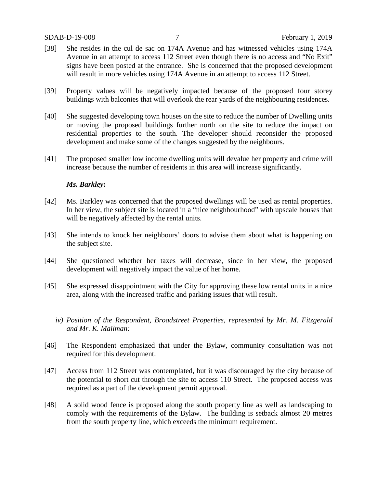#### SDAB-D-19-008 7 February 1, 2019

- [38] She resides in the cul de sac on 174A Avenue and has witnessed vehicles using 174A Avenue in an attempt to access 112 Street even though there is no access and "No Exit" signs have been posted at the entrance. She is concerned that the proposed development will result in more vehicles using 174A Avenue in an attempt to access 112 Street.
- [39] Property values will be negatively impacted because of the proposed four storey buildings with balconies that will overlook the rear yards of the neighbouring residences.
- [40] She suggested developing town houses on the site to reduce the number of Dwelling units or moving the proposed buildings further north on the site to reduce the impact on residential properties to the south. The developer should reconsider the proposed development and make some of the changes suggested by the neighbours.
- [41] The proposed smaller low income dwelling units will devalue her property and crime will increase because the number of residents in this area will increase significantly.

#### *Ms. Barkley***:**

- [42] Ms. Barkley was concerned that the proposed dwellings will be used as rental properties. In her view, the subject site is located in a "nice neighbourhood" with upscale houses that will be negatively affected by the rental units.
- [43] She intends to knock her neighbours' doors to advise them about what is happening on the subject site.
- [44] She questioned whether her taxes will decrease, since in her view, the proposed development will negatively impact the value of her home.
- [45] She expressed disappointment with the City for approving these low rental units in a nice area, along with the increased traffic and parking issues that will result.
	- *iv) Position of the Respondent, Broadstreet Properties, represented by Mr. M. Fitzgerald and Mr. K. Mailman:*
- [46] The Respondent emphasized that under the Bylaw, community consultation was not required for this development.
- [47] Access from 112 Street was contemplated, but it was discouraged by the city because of the potential to short cut through the site to access 110 Street. The proposed access was required as a part of the development permit approval.
- [48] A solid wood fence is proposed along the south property line as well as landscaping to comply with the requirements of the Bylaw. The building is setback almost 20 metres from the south property line, which exceeds the minimum requirement.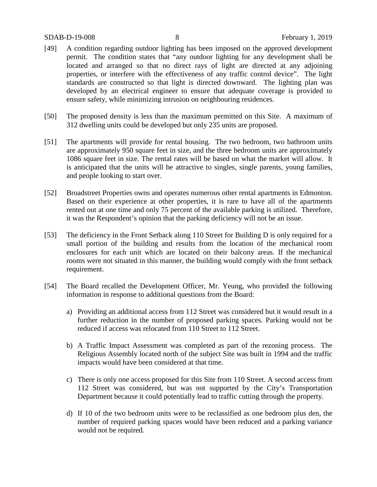#### SDAB-D-19-008 8 February 1, 2019

- [49] A condition regarding outdoor lighting has been imposed on the approved development permit. The condition states that "any outdoor lighting for any development shall be located and arranged so that no direct rays of light are directed at any adjoining properties, or interfere with the effectiveness of any traffic control device". The light standards are constructed so that light is directed downward. The lighting plan was developed by an electrical engineer to ensure that adequate coverage is provided to ensure safety, while minimizing intrusion on neighbouring residences.
- [50] The proposed density is less than the maximum permitted on this Site. A maximum of 312 dwelling units could be developed but only 235 units are proposed.
- [51] The apartments will provide for rental housing. The two bedroom, two bathroom units are approximately 950 square feet in size, and the three bedroom units are approximately 1086 square feet in size. The rental rates will be based on what the market will allow. It is anticipated that the units will be attractive to singles, single parents, young families, and people looking to start over.
- [52] Broadstreet Properties owns and operates numerous other rental apartments in Edmonton. Based on their experience at other properties, it is rare to have all of the apartments rented out at one time and only 75 percent of the available parking is utilized. Therefore, it was the Respondent's opinion that the parking deficiency will not be an issue.
- [53] The deficiency in the Front Setback along 110 Street for Building D is only required for a small portion of the building and results from the location of the mechanical room enclosures for each unit which are located on their balcony areas. If the mechanical rooms were not situated in this manner, the building would comply with the front setback requirement.
- [54] The Board recalled the Development Officer, Mr. Yeung, who provided the following information in response to additional questions from the Board:
	- a) Providing an additional access from 112 Street was considered but it would result in a further reduction in the number of proposed parking spaces. Parking would not be reduced if access was relocated from 110 Street to 112 Street.
	- b) A Traffic Impact Assessment was completed as part of the rezoning process. The Religious Assembly located north of the subject Site was built in 1994 and the traffic impacts would have been considered at that time.
	- c) There is only one access proposed for this Site from 110 Street. A second access from 112 Street was considered, but was not supported by the City's Transportation Department because it could potentially lead to traffic cutting through the property.
	- d) If 10 of the two bedroom units were to be reclassified as one bedroom plus den, the number of required parking spaces would have been reduced and a parking variance would not be required.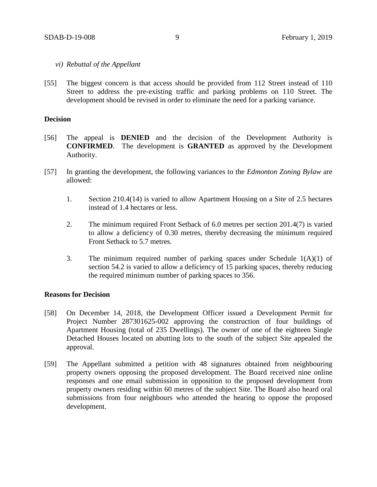#### *vi) Rebuttal of the Appellant*

[55] The biggest concern is that access should be provided from 112 Street instead of 110 Street to address the pre-existing traffic and parking problems on 110 Street. The development should be revised in order to eliminate the need for a parking variance.

#### **Decision**

- [56] The appeal is **DENIED** and the decision of the Development Authority is **CONFIRMED**. The development is **GRANTED** as approved by the Development Authority.
- [57] In granting the development, the following variances to the *Edmonton Zoning Bylaw* are allowed:
	- 1. Section 210.4(14) is varied to allow Apartment Housing on a Site of 2.5 hectares instead of 1.4 hectares or less.
	- 2. The minimum required Front Setback of 6.0 metres per section 201.4(7) is varied to allow a deficiency of 0.30 metres, thereby decreasing the minimum required Front Setback to 5.7 metres.
	- 3. The minimum required number of parking spaces under Schedule  $1(A)(1)$  of section 54.2 is varied to allow a deficiency of 15 parking spaces, thereby reducing the required minimum number of parking spaces to 356.

#### **Reasons for Decision**

- [58] On December 14, 2018, the Development Officer issued a Development Permit for Project Number 287301625-002 approving the construction of four buildings of Apartment Housing (total of 235 Dwellings). The owner of one of the eighteen Single Detached Houses located on abutting lots to the south of the subject Site appealed the approval.
- [59] The Appellant submitted a petition with 48 signatures obtained from neighbouring property owners opposing the proposed development. The Board received nine online responses and one email submission in opposition to the proposed development from property owners residing within 60 metres of the subject Site. The Board also heard oral submissions from four neighbours who attended the hearing to oppose the proposed development.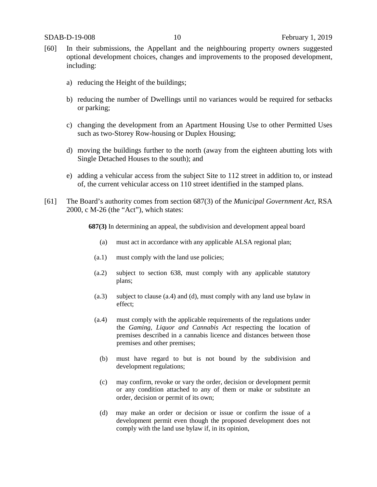- [60] In their submissions, the Appellant and the neighbouring property owners suggested optional development choices, changes and improvements to the proposed development, including:
	- a) reducing the Height of the buildings;
	- b) reducing the number of Dwellings until no variances would be required for setbacks or parking;
	- c) changing the development from an Apartment Housing Use to other Permitted Uses such as two-Storey Row-housing or Duplex Housing;
	- d) moving the buildings further to the north (away from the eighteen abutting lots with Single Detached Houses to the south); and
	- e) adding a vehicular access from the subject Site to 112 street in addition to, or instead of, the current vehicular access on 110 street identified in the stamped plans.
- [61] The Board's authority comes from section 687(3) of the *Municipal Government Act*, RSA 2000, c M-26 (the "Act"), which states:

**687(3)** In determining an appeal, the subdivision and development appeal board

- (a) must act in accordance with any applicable ALSA regional plan;
- (a.1) must comply with the land use policies;
- (a.2) subject to section 638, must comply with any applicable statutory plans;
- (a.3) subject to clause (a.4) and (d), must comply with any land use bylaw in effect;
- (a.4) must comply with the applicable requirements of the regulations under the *Gaming, Liquor and Cannabis Act* respecting the location of premises described in a cannabis licence and distances between those premises and other premises;
	- (b) must have regard to but is not bound by the subdivision and development regulations;
	- (c) may confirm, revoke or vary the order, decision or development permit or any condition attached to any of them or make or substitute an order, decision or permit of its own;
	- (d) may make an order or decision or issue or confirm the issue of a development permit even though the proposed development does not comply with the land use bylaw if, in its opinion,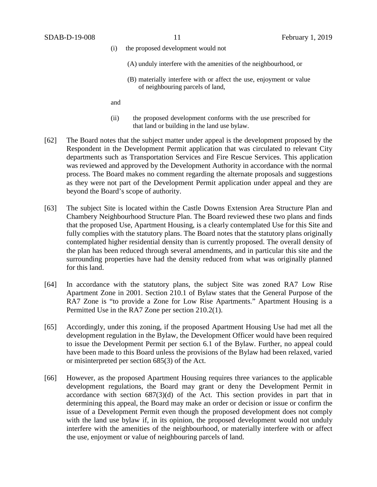- (i) the proposed development would not
	- (A) unduly interfere with the amenities of the neighbourhood, or
	- (B) materially interfere with or affect the use, enjoyment or value of neighbouring parcels of land,

and

- (ii) the proposed development conforms with the use prescribed for that land or building in the land use bylaw.
- [62] The Board notes that the subject matter under appeal is the development proposed by the Respondent in the Development Permit application that was circulated to relevant City departments such as Transportation Services and Fire Rescue Services. This application was reviewed and approved by the Development Authority in accordance with the normal process. The Board makes no comment regarding the alternate proposals and suggestions as they were not part of the Development Permit application under appeal and they are beyond the Board's scope of authority.
- [63] The subject Site is located within the Castle Downs Extension Area Structure Plan and Chambery Neighbourhood Structure Plan. The Board reviewed these two plans and finds that the proposed Use, Apartment Housing, is a clearly contemplated Use for this Site and fully complies with the statutory plans. The Board notes that the statutory plans originally contemplated higher residential density than is currently proposed. The overall density of the plan has been reduced through several amendments, and in particular this site and the surrounding properties have had the density reduced from what was originally planned for this land.
- [64] In accordance with the statutory plans, the subject Site was zoned RA7 Low Rise Apartment Zone in 2001. Section 210.1 of Bylaw states that the General Purpose of the RA7 Zone is "to provide a Zone for Low Rise Apartments." Apartment Housing is a Permitted Use in the RA7 Zone per section 210.2(1).
- [65] Accordingly, under this zoning, if the proposed Apartment Housing Use had met all the development regulation in the Bylaw, the Development Officer would have been required to issue the Development Permit per section 6.1 of the Bylaw. Further, no appeal could have been made to this Board unless the provisions of the Bylaw had been relaxed, varied or misinterpreted per section 685(3) of the Act.
- [66] However, as the proposed Apartment Housing requires three variances to the applicable development regulations, the Board may grant or deny the Development Permit in accordance with section 687(3)(d) of the Act. This section provides in part that in determining this appeal, the Board may make an order or decision or issue or confirm the issue of a Development Permit even though the proposed development does not comply with the land use bylaw if, in its opinion, the proposed development would not unduly interfere with the amenities of the neighbourhood, or materially interfere with or affect the use, enjoyment or value of neighbouring parcels of land.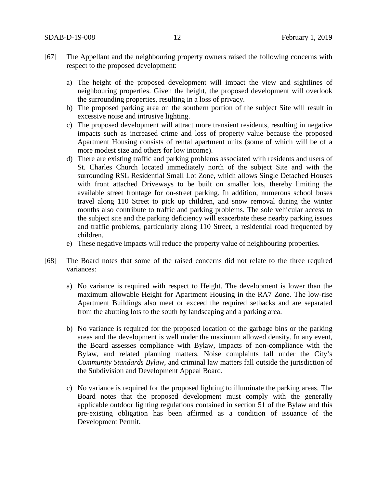- [67] The Appellant and the neighbouring property owners raised the following concerns with respect to the proposed development:
	- a) The height of the proposed development will impact the view and sightlines of neighbouring properties. Given the height, the proposed development will overlook the surrounding properties, resulting in a loss of privacy.
	- b) The proposed parking area on the southern portion of the subject Site will result in excessive noise and intrusive lighting.
	- c) The proposed development will attract more transient residents, resulting in negative impacts such as increased crime and loss of property value because the proposed Apartment Housing consists of rental apartment units (some of which will be of a more modest size and others for low income).
	- d) There are existing traffic and parking problems associated with residents and users of St. Charles Church located immediately north of the subject Site and with the surrounding RSL Residential Small Lot Zone, which allows Single Detached Houses with front attached Driveways to be built on smaller lots, thereby limiting the available street frontage for on-street parking. In addition, numerous school buses travel along 110 Street to pick up children, and snow removal during the winter months also contribute to traffic and parking problems. The sole vehicular access to the subject site and the parking deficiency will exacerbate these nearby parking issues and traffic problems, particularly along 110 Street, a residential road frequented by children.
	- e) These negative impacts will reduce the property value of neighbouring properties.
- [68] The Board notes that some of the raised concerns did not relate to the three required variances:
	- a) No variance is required with respect to Height. The development is lower than the maximum allowable Height for Apartment Housing in the RA7 Zone. The low-rise Apartment Buildings also meet or exceed the required setbacks and are separated from the abutting lots to the south by landscaping and a parking area.
	- b) No variance is required for the proposed location of the garbage bins or the parking areas and the development is well under the maximum allowed density. In any event, the Board assesses compliance with Bylaw, impacts of non-compliance with the Bylaw, and related planning matters. Noise complaints fall under the City's *Community Standards Bylaw*, and criminal law matters fall outside the jurisdiction of the Subdivision and Development Appeal Board.
	- c) No variance is required for the proposed lighting to illuminate the parking areas. The Board notes that the proposed development must comply with the generally applicable outdoor lighting regulations contained in section 51 of the Bylaw and this pre-existing obligation has been affirmed as a condition of issuance of the Development Permit.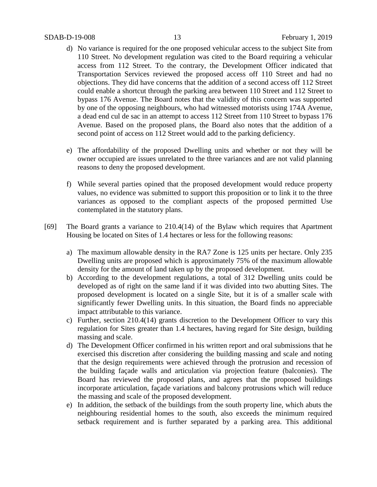- d) No variance is required for the one proposed vehicular access to the subject Site from 110 Street. No development regulation was cited to the Board requiring a vehicular access from 112 Street. To the contrary, the Development Officer indicated that Transportation Services reviewed the proposed access off 110 Street and had no objections. They did have concerns that the addition of a second access off 112 Street could enable a shortcut through the parking area between 110 Street and 112 Street to bypass 176 Avenue. The Board notes that the validity of this concern was supported by one of the opposing neighbours, who had witnessed motorists using 174A Avenue, a dead end cul de sac in an attempt to access 112 Street from 110 Street to bypass 176 Avenue. Based on the proposed plans, the Board also notes that the addition of a second point of access on 112 Street would add to the parking deficiency.
- e) The affordability of the proposed Dwelling units and whether or not they will be owner occupied are issues unrelated to the three variances and are not valid planning reasons to deny the proposed development.
- f) While several parties opined that the proposed development would reduce property values, no evidence was submitted to support this proposition or to link it to the three variances as opposed to the compliant aspects of the proposed permitted Use contemplated in the statutory plans.
- [69] The Board grants a variance to 210.4(14) of the Bylaw which requires that Apartment Housing be located on Sites of 1.4 hectares or less for the following reasons:
	- a) The maximum allowable density in the RA7 Zone is 125 units per hectare. Only 235 Dwelling units are proposed which is approximately 75% of the maximum allowable density for the amount of land taken up by the proposed development.
	- b) According to the development regulations, a total of 312 Dwelling units could be developed as of right on the same land if it was divided into two abutting Sites. The proposed development is located on a single Site, but it is of a smaller scale with significantly fewer Dwelling units. In this situation, the Board finds no appreciable impact attributable to this variance.
	- c) Further, section 210.4(14) grants discretion to the Development Officer to vary this regulation for Sites greater than 1.4 hectares, having regard for Site design, building massing and scale.
	- d) The Development Officer confirmed in his written report and oral submissions that he exercised this discretion after considering the building massing and scale and noting that the design requirements were achieved through the protrusion and recession of the building façade walls and articulation via projection feature (balconies). The Board has reviewed the proposed plans, and agrees that the proposed buildings incorporate articulation, façade variations and balcony protrusions which will reduce the massing and scale of the proposed development.
	- e) In addition, the setback of the buildings from the south property line, which abuts the neighbouring residential homes to the south, also exceeds the minimum required setback requirement and is further separated by a parking area. This additional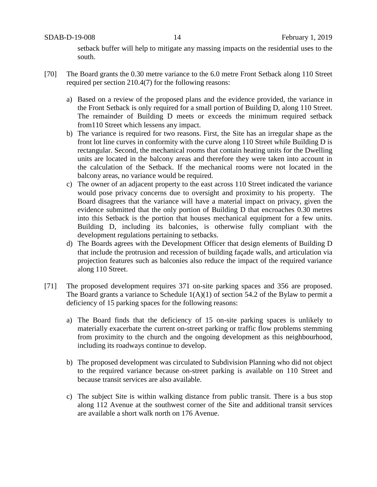setback buffer will help to mitigate any massing impacts on the residential uses to the south.

- [70] The Board grants the 0.30 metre variance to the 6.0 metre Front Setback along 110 Street required per section 210.4(7) for the following reasons:
	- a) Based on a review of the proposed plans and the evidence provided, the variance in the Front Setback is only required for a small portion of Building D, along 110 Street. The remainder of Building D meets or exceeds the minimum required setback from110 Street which lessens any impact.
	- b) The variance is required for two reasons. First, the Site has an irregular shape as the front lot line curves in conformity with the curve along 110 Street while Building D is rectangular. Second, the mechanical rooms that contain heating units for the Dwelling units are located in the balcony areas and therefore they were taken into account in the calculation of the Setback. If the mechanical rooms were not located in the balcony areas, no variance would be required.
	- c) The owner of an adjacent property to the east across 110 Street indicated the variance would pose privacy concerns due to oversight and proximity to his property. The Board disagrees that the variance will have a material impact on privacy, given the evidence submitted that the only portion of Building D that encroaches 0.30 metres into this Setback is the portion that houses mechanical equipment for a few units. Building D, including its balconies, is otherwise fully compliant with the development regulations pertaining to setbacks.
	- d) The Boards agrees with the Development Officer that design elements of Building D that include the protrusion and recession of building façade walls, and articulation via projection features such as balconies also reduce the impact of the required variance along 110 Street.
- [71] The proposed development requires 371 on-site parking spaces and 356 are proposed. The Board grants a variance to Schedule  $1(A)(1)$  of section 54.2 of the Bylaw to permit a deficiency of 15 parking spaces for the following reasons:
	- a) The Board finds that the deficiency of 15 on-site parking spaces is unlikely to materially exacerbate the current on-street parking or traffic flow problems stemming from proximity to the church and the ongoing development as this neighbourhood, including its roadways continue to develop.
	- b) The proposed development was circulated to Subdivision Planning who did not object to the required variance because on-street parking is available on 110 Street and because transit services are also available.
	- c) The subject Site is within walking distance from public transit. There is a bus stop along 112 Avenue at the southwest corner of the Site and additional transit services are available a short walk north on 176 Avenue.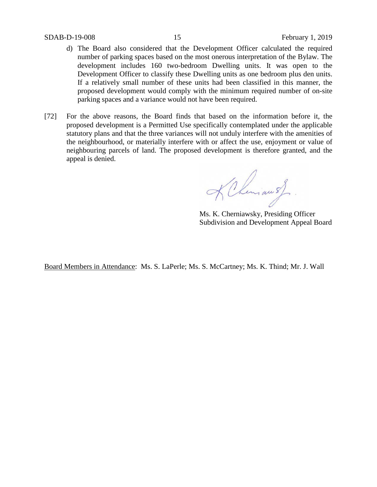#### SDAB-D-19-008 15 February 1, 2019

- d) The Board also considered that the Development Officer calculated the required number of parking spaces based on the most onerous interpretation of the Bylaw. The development includes 160 two-bedroom Dwelling units. It was open to the Development Officer to classify these Dwelling units as one bedroom plus den units. If a relatively small number of these units had been classified in this manner, the proposed development would comply with the minimum required number of on-site parking spaces and a variance would not have been required.
- [72] For the above reasons, the Board finds that based on the information before it, the proposed development is a Permitted Use specifically contemplated under the applicable statutory plans and that the three variances will not unduly interfere with the amenities of the neighbourhood, or materially interfere with or affect the use, enjoyment or value of neighbouring parcels of land. The proposed development is therefore granted, and the appeal is denied.

KChman of.

Ms. K. Cherniawsky, Presiding Officer Subdivision and Development Appeal Board

Board Members in Attendance: Ms. S. LaPerle; Ms. S. McCartney; Ms. K. Thind; Mr. J. Wall